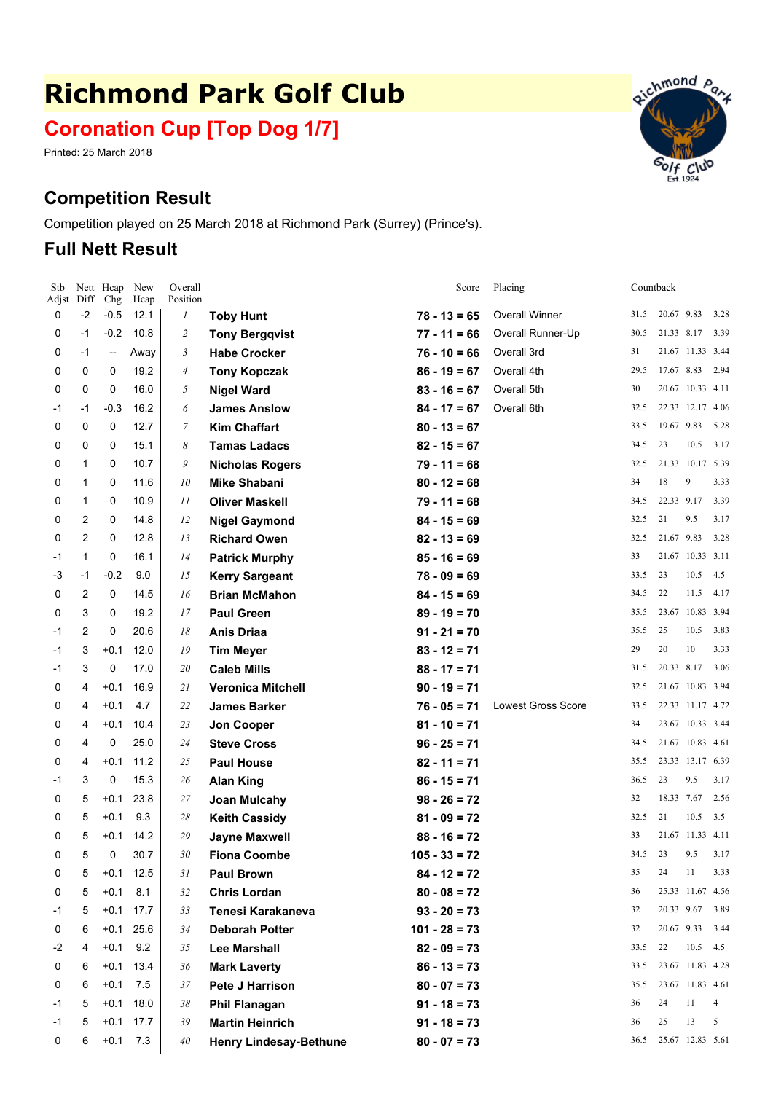# **Richmond Park Golf Club**

**Coronation Cup [Top Dog 1/7]**

Printed: 25 March 2018

# **Competition Result**

Competition played on 25 March 2018 at Richmond Park (Surrey) (Prince's).

## **Full Nett Result**



| Stb<br>Adjst | Diff           | Nett Hcap<br>Chg         | New<br>Hcap | Overall<br>Position |                               | Score           | Placing                   |      | Countback  |                  |      |
|--------------|----------------|--------------------------|-------------|---------------------|-------------------------------|-----------------|---------------------------|------|------------|------------------|------|
| 0            | $-2$           | $-0.5$                   | 12.1        | $\boldsymbol{l}$    | <b>Toby Hunt</b>              | $78 - 13 = 65$  | <b>Overall Winner</b>     | 31.5 | 20.67 9.83 |                  | 3.28 |
| 0            | $-1$           | $-0.2$                   | 10.8        | $\overline{c}$      | <b>Tony Bergqvist</b>         | $77 - 11 = 66$  | Overall Runner-Up         | 30.5 | 21.33 8.17 |                  | 3.39 |
| 0            | $-1$           | $\overline{\phantom{a}}$ | Away        | 3                   | <b>Habe Crocker</b>           | $76 - 10 = 66$  | Overall 3rd               | 31   |            | 21.67 11.33 3.44 |      |
| 0            | 0              | 0                        | 19.2        | $\overline{4}$      | <b>Tony Kopczak</b>           | $86 - 19 = 67$  | Overall 4th               | 29.5 | 17.67 8.83 |                  | 2.94 |
| 0            | 0              | $\mathbf 0$              | 16.0        | 5                   | <b>Nigel Ward</b>             | $83 - 16 = 67$  | Overall 5th               | 30   |            | 20.67 10.33 4.11 |      |
| -1           | $-1$           | $-0.3$                   | 16.2        | 6                   | <b>James Anslow</b>           | $84 - 17 = 67$  | Overall 6th               | 32.5 |            | 22.33 12.17 4.06 |      |
| 0            | $\mathbf 0$    | 0                        | 12.7        | $\mathcal{I}$       | <b>Kim Chaffart</b>           | $80 - 13 = 67$  |                           | 33.5 | 19.67 9.83 |                  | 5.28 |
| 0            | 0              | 0                        | 15.1        | 8                   | <b>Tamas Ladacs</b>           | $82 - 15 = 67$  |                           | 34.5 | 23         | 10.5             | 3.17 |
| 0            | 1              | 0                        | 10.7        | 9                   | <b>Nicholas Rogers</b>        | $79 - 11 = 68$  |                           | 32.5 |            | 21.33 10.17 5.39 |      |
| 0            | 1              | 0                        | 11.6        | 10                  | <b>Mike Shabani</b>           | $80 - 12 = 68$  |                           | 34   | 18         | 9                | 3.33 |
| 0            | 1              | 0                        | 10.9        | 11                  | <b>Oliver Maskell</b>         | $79 - 11 = 68$  |                           | 34.5 | 22.33 9.17 |                  | 3.39 |
| 0            | 2              | 0                        | 14.8        | 12                  | <b>Nigel Gaymond</b>          | $84 - 15 = 69$  |                           | 32.5 | 21         | 9.5              | 3.17 |
| 0            | $\overline{2}$ | 0                        | 12.8        | 13                  | <b>Richard Owen</b>           | $82 - 13 = 69$  |                           | 32.5 | 21.67 9.83 |                  | 3.28 |
| -1           | 1              | 0                        | 16.1        | 14                  | <b>Patrick Murphy</b>         | $85 - 16 = 69$  |                           | 33   |            | 21.67 10.33 3.11 |      |
| -3           | $-1$           | $-0.2$                   | 9.0         | 15                  | <b>Kerry Sargeant</b>         | $78 - 09 = 69$  |                           | 33.5 | 23         | 10.5             | 4.5  |
| 0            | 2              | 0                        | 14.5        | 16                  | <b>Brian McMahon</b>          | $84 - 15 = 69$  |                           | 34.5 | 22         | 11.5             | 4.17 |
| 0            | 3              | 0                        | 19.2        | 17                  | <b>Paul Green</b>             | $89 - 19 = 70$  |                           | 35.5 |            | 23.67 10.83 3.94 |      |
| -1           | 2              | 0                        | 20.6        | 18                  | <b>Anis Driaa</b>             | $91 - 21 = 70$  |                           | 35.5 | 25         | 10.5             | 3.83 |
| -1           | 3              | $+0.1$                   | 12.0        | 19                  | <b>Tim Meyer</b>              | $83 - 12 = 71$  |                           | 29   | 20         | 10               | 3.33 |
| -1           | 3              | 0                        | 17.0        | 20                  | <b>Caleb Mills</b>            | $88 - 17 = 71$  |                           | 31.5 | 20.33 8.17 |                  | 3.06 |
| 0            | 4              | $+0.1$                   | 16.9        | 21                  | <b>Veronica Mitchell</b>      | $90 - 19 = 71$  |                           | 32.5 |            | 21.67 10.83 3.94 |      |
| 0            | 4              | $+0.1$                   | 4.7         | 22                  | <b>James Barker</b>           | $76 - 05 = 71$  | <b>Lowest Gross Score</b> | 33.5 |            | 22.33 11.17 4.72 |      |
| 0            | 4              | $+0.1$                   | 10.4        | 23                  | <b>Jon Cooper</b>             | $81 - 10 = 71$  |                           | 34   |            | 23.67 10.33 3.44 |      |
| 0            | 4              | 0                        | 25.0        | 24                  | <b>Steve Cross</b>            | $96 - 25 = 71$  |                           | 34.5 |            | 21.67 10.83 4.61 |      |
| 0            | 4              | $+0.1$                   | 11.2        | 25                  | <b>Paul House</b>             | $82 - 11 = 71$  |                           | 35.5 |            | 23.33 13.17 6.39 |      |
| -1           | 3              | 0                        | 15.3        | 26                  | <b>Alan King</b>              | $86 - 15 = 71$  |                           | 36.5 | 23         | 9.5              | 3.17 |
| 0            | 5              | $+0.1$                   | 23.8        | 27                  | Joan Mulcahy                  | $98 - 26 = 72$  |                           | 32   | 18.33 7.67 |                  | 2.56 |
| 0            | 5              | $+0.1$                   | 9.3         | 28                  | <b>Keith Cassidy</b>          | $81 - 09 = 72$  |                           | 32.5 | 21         | 10.5             | 3.5  |
| 0            | 5              | $+0.1$                   | 14.2        | 29                  | <b>Jayne Maxwell</b>          | $88 - 16 = 72$  |                           | 33   |            | 21.67 11.33 4.11 |      |
| 0            | 5              | 0                        | 30.7        | 30                  | <b>Fiona Coombe</b>           | $105 - 33 = 72$ |                           | 34.5 | 23         | 9.5              | 3.17 |
| 0            | 5              |                          | $+0.1$ 12.5 | 31                  | <b>Paul Brown</b>             | $84 - 12 = 72$  |                           | 35   | 24         | 11               | 3.33 |
| 0            | 5              |                          | $+0.1$ 8.1  | 32                  | <b>Chris Lordan</b>           | $80 - 08 = 72$  |                           | 36   |            | 25.33 11.67 4.56 |      |
| -1           | 5              |                          | $+0.1$ 17.7 | 33                  | Tenesi Karakaneva             | $93 - 20 = 73$  |                           | 32   | 20.33 9.67 |                  | 3.89 |
| 0            | 6              |                          | $+0.1$ 25.6 | 34                  | <b>Deborah Potter</b>         | $101 - 28 = 73$ |                           | 32   | 20.67 9.33 |                  | 3.44 |
| -2           | 4              | $+0.1$                   | 9.2         | 35                  | <b>Lee Marshall</b>           | $82 - 09 = 73$  |                           | 33.5 | 22         | 10.5             | 4.5  |
| 0            | 6              |                          | $+0.1$ 13.4 | 36                  | <b>Mark Laverty</b>           | $86 - 13 = 73$  |                           | 33.5 |            | 23.67 11.83 4.28 |      |
| 0            | 6              |                          | $+0.1$ 7.5  | 37                  | <b>Pete J Harrison</b>        | $80 - 07 = 73$  |                           | 35.5 |            | 23.67 11.83 4.61 |      |
| -1           | 5              | $+0.1$                   | 18.0        | 38                  | <b>Phil Flanagan</b>          | $91 - 18 = 73$  |                           | 36   | 24         | 11               | 4    |
| -1           | 5              |                          | $+0.1$ 17.7 | 39                  | <b>Martin Heinrich</b>        | $91 - 18 = 73$  |                           | 36   | 25         | 13               | 5    |
| 0            | 6              | $+0.1$                   | 7.3         | 40                  | <b>Henry Lindesay-Bethune</b> | $80 - 07 = 73$  |                           | 36.5 |            | 25.67 12.83 5.61 |      |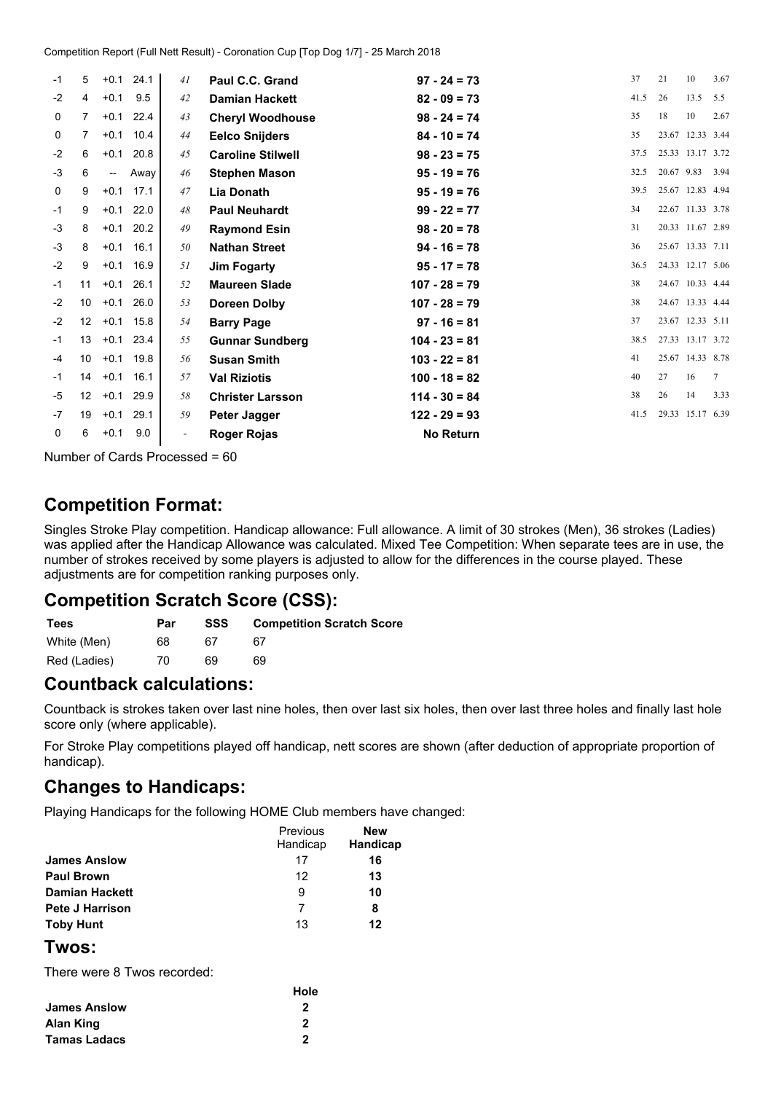| -1   | 5               | $+0.1$ | 24.1 | 41                       | Paul C.C. Grand          | $97 - 24 = 73$   | 37   | 21         | 10               | 3.67 |
|------|-----------------|--------|------|--------------------------|--------------------------|------------------|------|------------|------------------|------|
| $-2$ | 4               | $+0.1$ | 9.5  | 42                       | <b>Damian Hackett</b>    | $82 - 09 = 73$   | 41.5 | 26         | 13.5             | 5.5  |
| 0    | 7               | $+0.1$ | 22.4 | 43                       | <b>Cheryl Woodhouse</b>  | $98 - 24 = 74$   | 35   | 18         | 10               | 2.67 |
| 0    | $\overline{7}$  | $+0.1$ | 10.4 | 44                       | <b>Eelco Snijders</b>    | $84 - 10 = 74$   | 35   |            | 23.67 12.33 3.44 |      |
| $-2$ | 6               | $+0.1$ | 20.8 | 45                       | <b>Caroline Stilwell</b> | $98 - 23 = 75$   | 37.5 |            | 25.33 13.17 3.72 |      |
| $-3$ | 6               | --     | Away | 46                       | <b>Stephen Mason</b>     | $95 - 19 = 76$   | 32.5 | 20.67 9.83 |                  | 3.94 |
| 0    | 9               | $+0.1$ | 17.1 | 47                       | Lia Donath               | $95 - 19 = 76$   | 39.5 |            | 25.67 12.83 4.94 |      |
| $-1$ | 9               | $+0.1$ | 22.0 | 48                       | <b>Paul Neuhardt</b>     | $99 - 22 = 77$   | 34   |            | 22.67 11.33 3.78 |      |
| $-3$ | 8               | $+0.1$ | 20.2 | 49                       | <b>Raymond Esin</b>      | $98 - 20 = 78$   | 31   |            | 20.33 11.67 2.89 |      |
| $-3$ | 8               | $+0.1$ | 16.1 | 50                       | <b>Nathan Street</b>     | $94 - 16 = 78$   | 36   |            | 25.67 13.33 7.11 |      |
| $-2$ | 9               | $+0.1$ | 16.9 | 51                       | <b>Jim Fogarty</b>       | $95 - 17 = 78$   | 36.5 |            | 24.33 12.17 5.06 |      |
| $-1$ | 11              | $+0.1$ | 26.1 | 52                       | <b>Maureen Slade</b>     | $107 - 28 = 79$  | 38   |            | 24.67 10.33 4.44 |      |
| $-2$ | 10              | $+0.1$ | 26.0 | 53                       | <b>Doreen Dolby</b>      | $107 - 28 = 79$  | 38   |            | 24.67 13.33 4.44 |      |
| $-2$ | 12              | $+0.1$ | 15.8 | 54                       | <b>Barry Page</b>        | $97 - 16 = 81$   | 37   |            | 23.67 12.33 5.11 |      |
| $-1$ | 13              | $+0.1$ | 23.4 | 55                       | <b>Gunnar Sundberg</b>   | $104 - 23 = 81$  | 38.5 |            | 27.33 13.17 3.72 |      |
| $-4$ | 10              | $+0.1$ | 19.8 | 56                       | <b>Susan Smith</b>       | $103 - 22 = 81$  | 41   |            | 25.67 14.33 8.78 |      |
| -1   | 14              | $+0.1$ | 16.1 | 57                       | <b>Val Riziotis</b>      | $100 - 18 = 82$  | 40   | 27         | 16               | 7    |
| $-5$ | 12 <sup>2</sup> | $+0.1$ | 29.9 | 58                       | <b>Christer Larsson</b>  | $114 - 30 = 84$  | 38   | 26         | 14               | 3.33 |
| -7   | 19              | $+0.1$ | 29.1 | 59                       | <b>Peter Jagger</b>      | $122 - 29 = 93$  | 41.5 |            | 29.33 15.17 6.39 |      |
| 0    | 6               | $+0.1$ | 9.0  | $\overline{\phantom{a}}$ | Roger Rojas              | <b>No Return</b> |      |            |                  |      |
|      |                 |        |      |                          |                          |                  |      |            |                  |      |

Number of Cards Processed <sup>=</sup> 60

## **Competition Format:**

Singles Stroke Play competition. Handicap allowance: Full allowance. A limit of 30 strokes (Men), 36 strokes (Ladies) was applied after the Handicap Allowance was calculated. Mixed Tee Competition: When separate tees are in use, the number of strokes received by some players is adjusted to allow for the differences in the course played. These adjustments are for competition ranking purposes only.

## **Competition Scratch Score (CSS):**

| <b>Tees</b>  | Par | SSS | <b>Competition Scratch Score</b> |
|--------------|-----|-----|----------------------------------|
| White (Men)  | 68  | 67  | 67                               |
| Red (Ladies) | 70  | 69  | 69                               |

### **Countback calculations:**

Countback is strokes taken over last nine holes, then over last six holes, then over last three holes and finally last hole score only (where applicable).

For Stroke Play competitions played off handicap, nett scores are shown (after deduction of appropriate proportion of handicap).

## **Changes to Handicaps:**

Playing Handicaps for the following HOME Club members have changed:

|                        | Previous<br>Handicap | <b>New</b><br>Handicap |
|------------------------|----------------------|------------------------|
| <b>James Anslow</b>    | 17                   | 16                     |
| <b>Paul Brown</b>      | 12                   | 13                     |
| <b>Damian Hackett</b>  | 9                    | 10                     |
| <b>Pete J Harrison</b> | 7                    | 8                      |
| <b>Toby Hunt</b>       | 13                   | 12                     |

#### **Twos:**

There were 8 Twos recorded:

|                     | Hole |
|---------------------|------|
| <b>James Anslow</b> | 2    |
| <b>Alan King</b>    | 2    |
| <b>Tamas Ladacs</b> | 2    |